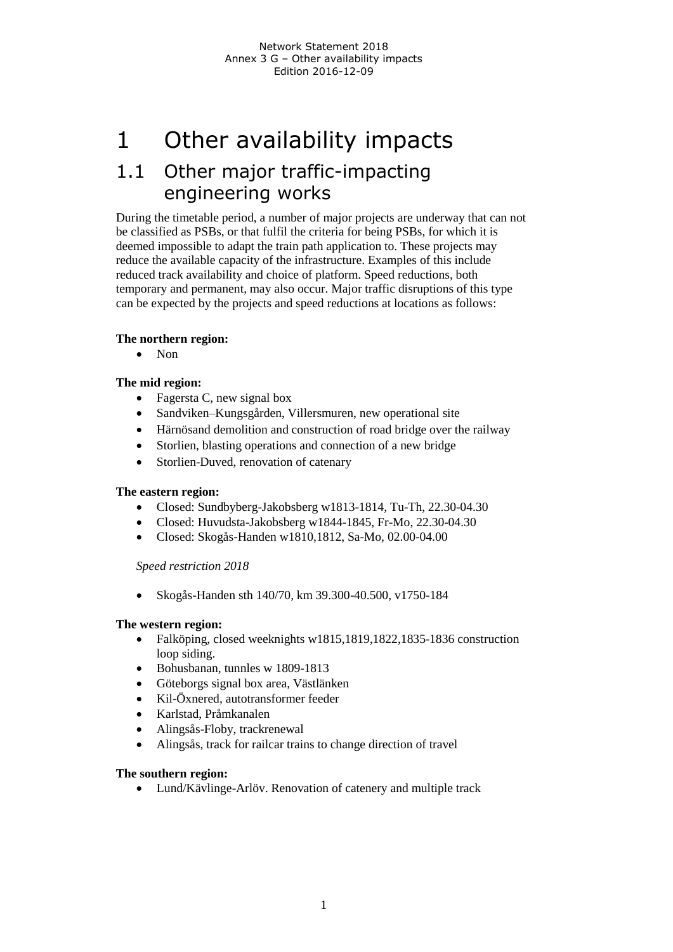# 1 Other availability impacts

# 1.1 Other major traffic-impacting engineering works

During the timetable period, a number of major projects are underway that can not be classified as PSBs, or that fulfil the criteria for being PSBs, for which it is deemed impossible to adapt the train path application to. These projects may reduce the available capacity of the infrastructure. Examples of this include reduced track availability and choice of platform. Speed reductions, both temporary and permanent, may also occur. Major traffic disruptions of this type can be expected by the projects and speed reductions at locations as follows:

# **The northern region:**

• Non

# **The mid region:**

- Fagersta C, new signal box
- Sandviken–Kungsgården, Villersmuren, new operational site
- Härnösand demolition and construction of road bridge over the railway
- Storlien, blasting operations and connection of a new bridge
- Storlien-Duved, renovation of catenary

# **The eastern region:**

- Closed: Sundbyberg-Jakobsberg w1813-1814, Tu-Th, 22.30-04.30
- Closed: Huvudsta-Jakobsberg w1844-1845, Fr-Mo, 22.30-04.30
- Closed: Skogås-Handen w1810,1812, Sa-Mo, 02.00-04.00

*Speed restriction 2018*

Skogås-Handen sth 140/70, km 39.300-40.500, v1750-184

# **The western region:**

- Falköping, closed weeknights w1815,1819,1822,1835-1836 construction loop siding.
- Bohusbanan, tunnles w 1809-1813
- Göteborgs signal box area, Västlänken
- Kil-Öxnered, autotransformer feeder
- Karlstad, Pråmkanalen
- Alingsås-Floby, trackrenewal
- Alingsås, track for railcar trains to change direction of travel

# **The southern region:**

Lund/Kävlinge-Arlöv. Renovation of catenery and multiple track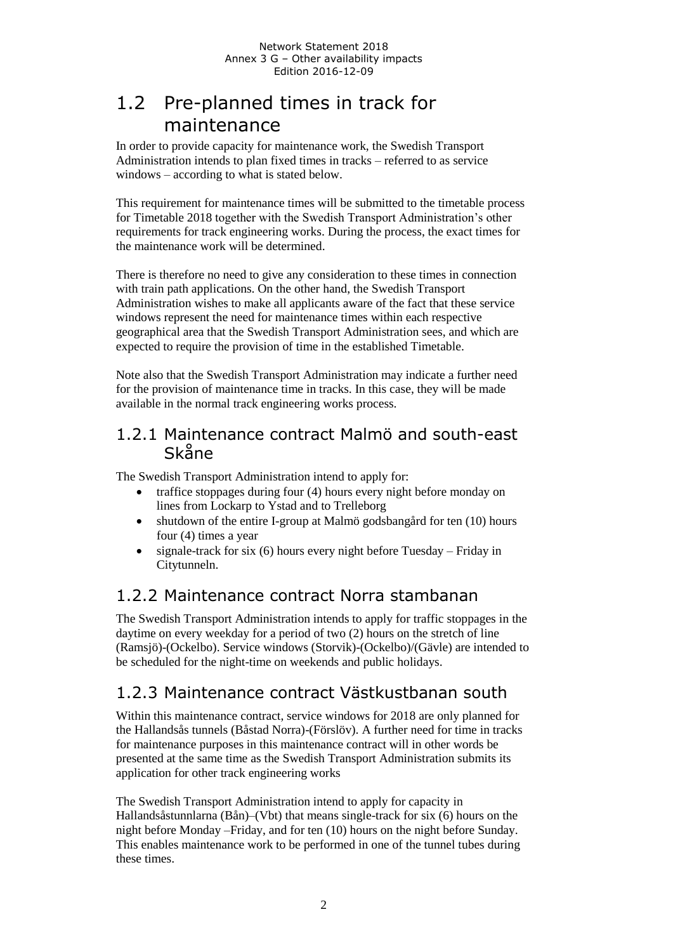# 1.2 Pre-planned times in track for maintenance

In order to provide capacity for maintenance work, the Swedish Transport Administration intends to plan fixed times in tracks – referred to as service windows – according to what is stated below.

This requirement for maintenance times will be submitted to the timetable process for Timetable 2018 together with the Swedish Transport Administration's other requirements for track engineering works. During the process, the exact times for the maintenance work will be determined.

There is therefore no need to give any consideration to these times in connection with train path applications. On the other hand, the Swedish Transport Administration wishes to make all applicants aware of the fact that these service windows represent the need for maintenance times within each respective geographical area that the Swedish Transport Administration sees, and which are expected to require the provision of time in the established Timetable.

Note also that the Swedish Transport Administration may indicate a further need for the provision of maintenance time in tracks. In this case, they will be made available in the normal track engineering works process.

# 1.2.1 Maintenance contract Malmö and south-east Skåne

The Swedish Transport Administration intend to apply for:

- traffice stoppages during four (4) hours every night before monday on lines from Lockarp to Ystad and to Trelleborg
- shutdown of the entire I-group at Malmö godsbangård for ten (10) hours four (4) times a year
- signale-track for six  $(6)$  hours every night before Tuesday Friday in Citytunneln.

# 1.2.2 Maintenance contract Norra stambanan

The Swedish Transport Administration intends to apply for traffic stoppages in the daytime on every weekday for a period of two (2) hours on the stretch of line (Ramsjö)-(Ockelbo). Service windows (Storvik)-(Ockelbo)/(Gävle) are intended to be scheduled for the night-time on weekends and public holidays.

# 1.2.3 Maintenance contract Västkustbanan south

Within this maintenance contract, service windows for 2018 are only planned for the Hallandsås tunnels (Båstad Norra)-(Förslöv). A further need for time in tracks for maintenance purposes in this maintenance contract will in other words be presented at the same time as the Swedish Transport Administration submits its application for other track engineering works

The Swedish Transport Administration intend to apply for capacity in Hallandsåstunnlarna (Bån)–(Vbt) that means single-track for six (6) hours on the night before Monday –Friday, and for ten (10) hours on the night before Sunday. This enables maintenance work to be performed in one of the tunnel tubes during these times.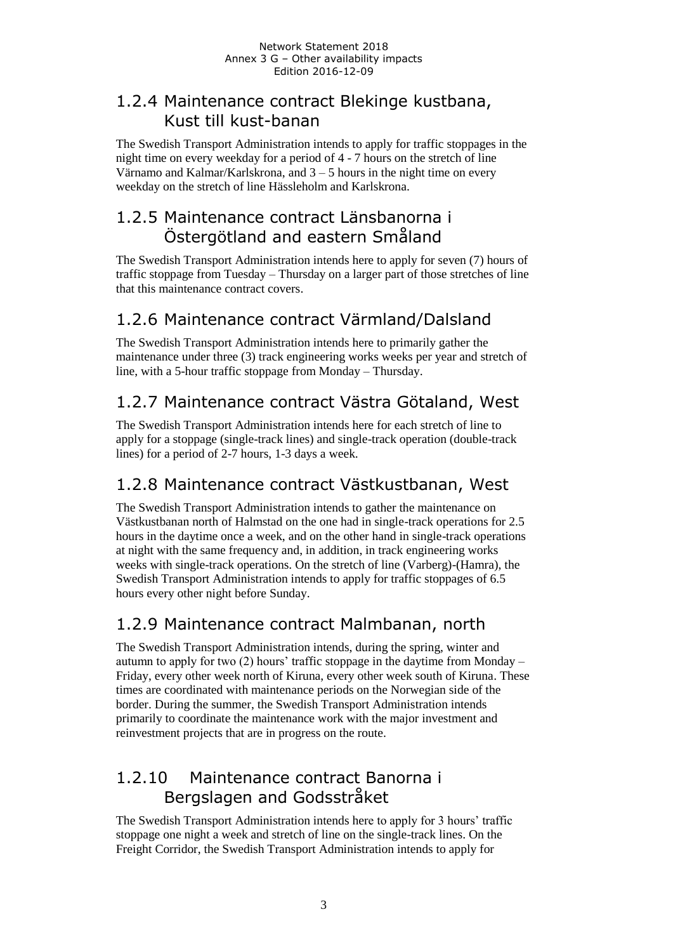# 1.2.4 Maintenance contract Blekinge kustbana, Kust till kust-banan

The Swedish Transport Administration intends to apply for traffic stoppages in the night time on every weekday for a period of 4 - 7 hours on the stretch of line Värnamo and Kalmar/Karlskrona, and  $3 - 5$  hours in the night time on every weekday on the stretch of line Hässleholm and Karlskrona.

# 1.2.5 Maintenance contract Länsbanorna i Östergötland and eastern Småland

The Swedish Transport Administration intends here to apply for seven (7) hours of traffic stoppage from Tuesday – Thursday on a larger part of those stretches of line that this maintenance contract covers.

# 1.2.6 Maintenance contract Värmland/Dalsland

The Swedish Transport Administration intends here to primarily gather the maintenance under three (3) track engineering works weeks per year and stretch of line, with a 5-hour traffic stoppage from Monday – Thursday.

# 1.2.7 Maintenance contract Västra Götaland, West

The Swedish Transport Administration intends here for each stretch of line to apply for a stoppage (single-track lines) and single-track operation (double-track lines) for a period of 2-7 hours, 1-3 days a week.

# 1.2.8 Maintenance contract Västkustbanan, West

The Swedish Transport Administration intends to gather the maintenance on Västkustbanan north of Halmstad on the one had in single-track operations for 2.5 hours in the daytime once a week, and on the other hand in single-track operations at night with the same frequency and, in addition, in track engineering works weeks with single-track operations. On the stretch of line (Varberg)-(Hamra), the Swedish Transport Administration intends to apply for traffic stoppages of 6.5 hours every other night before Sunday.

# 1.2.9 Maintenance contract Malmbanan, north

The Swedish Transport Administration intends, during the spring, winter and autumn to apply for two (2) hours' traffic stoppage in the daytime from Monday – Friday, every other week north of Kiruna, every other week south of Kiruna. These times are coordinated with maintenance periods on the Norwegian side of the border. During the summer, the Swedish Transport Administration intends primarily to coordinate the maintenance work with the major investment and reinvestment projects that are in progress on the route.

# 1.2.10 Maintenance contract Banorna i Bergslagen and Godsstråket

The Swedish Transport Administration intends here to apply for 3 hours' traffic stoppage one night a week and stretch of line on the single-track lines. On the Freight Corridor, the Swedish Transport Administration intends to apply for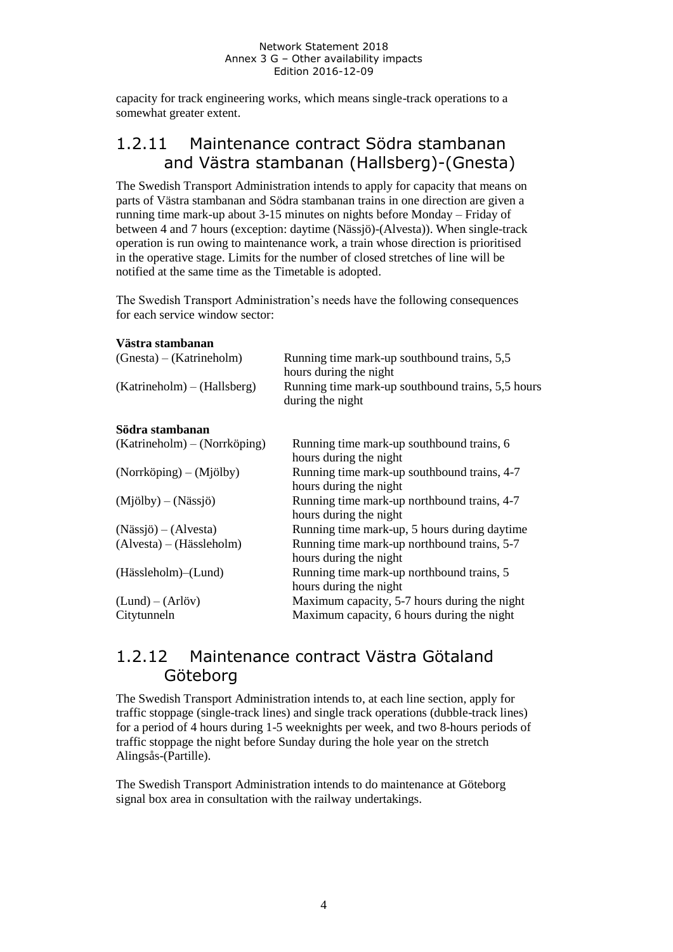capacity for track engineering works, which means single-track operations to a somewhat greater extent.

# 1.2.11 Maintenance contract Södra stambanan and Västra stambanan (Hallsberg)-(Gnesta)

The Swedish Transport Administration intends to apply for capacity that means on parts of Västra stambanan and Södra stambanan trains in one direction are given a running time mark-up about 3-15 minutes on nights before Monday – Friday of between 4 and 7 hours (exception: daytime (Nässjö)-(Alvesta)). When single-track operation is run owing to maintenance work, a train whose direction is prioritised in the operative stage. Limits for the number of closed stretches of line will be notified at the same time as the Timetable is adopted.

The Swedish Transport Administration's needs have the following consequences for each service window sector:

# **Västra stambanan**

| $(Gnesta) - (Katrineholm)$    | Running time mark-up southbound trains, 5,5<br>hours during the night |
|-------------------------------|-----------------------------------------------------------------------|
| $(Katrineholm) - (Hallsberg)$ | Running time mark-up southbound trains, 5,5 hours<br>during the night |
| Södra stambanan               |                                                                       |
| (Katrineholm) – (Norrköping)  | Running time mark-up southbound trains, 6<br>hours during the night   |
| (Norrköping) – (Mjölby)       | Running time mark-up southbound trains, 4-7<br>hours during the night |
| $(Mjölby) - (Nässjö)$         | Running time mark-up northbound trains, 4-7<br>hours during the night |
| $(Nässjö) - (Alvesta)$        | Running time mark-up, 5 hours during daytime                          |
| $(Alyesta) - (Hässleholm)$    | Running time mark-up northbound trains, 5-7<br>hours during the night |
| (Hässleholm)–(Lund)           | Running time mark-up northbound trains, 5<br>hours during the night   |
| (Lund) – (Arlöv)              | Maximum capacity, 5-7 hours during the night                          |
| Citytunneln                   | Maximum capacity, 6 hours during the night                            |

# 1.2.12 Maintenance contract Västra Götaland Göteborg

The Swedish Transport Administration intends to, at each line section, apply for traffic stoppage (single-track lines) and single track operations (dubble-track lines) for a period of 4 hours during 1-5 weeknights per week, and two 8-hours periods of traffic stoppage the night before Sunday during the hole year on the stretch Alingsås-(Partille).

The Swedish Transport Administration intends to do maintenance at Göteborg signal box area in consultation with the railway undertakings.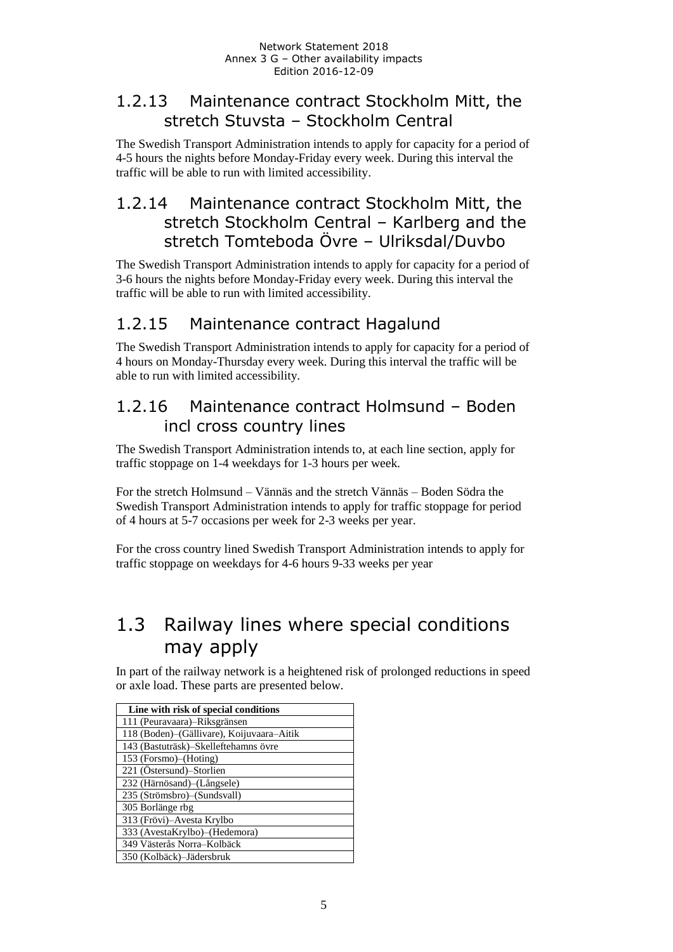# 1.2.13 Maintenance contract Stockholm Mitt, the stretch Stuvsta – Stockholm Central

The Swedish Transport Administration intends to apply for capacity for a period of 4-5 hours the nights before Monday-Friday every week. During this interval the traffic will be able to run with limited accessibility.

# 1.2.14 Maintenance contract Stockholm Mitt, the stretch Stockholm Central – Karlberg and the stretch Tomteboda Övre – Ulriksdal/Duvbo

The Swedish Transport Administration intends to apply for capacity for a period of 3-6 hours the nights before Monday-Friday every week. During this interval the traffic will be able to run with limited accessibility.

# 1.2.15 Maintenance contract Hagalund

The Swedish Transport Administration intends to apply for capacity for a period of 4 hours on Monday-Thursday every week. During this interval the traffic will be able to run with limited accessibility.

# 1.2.16 Maintenance contract Holmsund – Boden incl cross country lines

The Swedish Transport Administration intends to, at each line section, apply for traffic stoppage on 1-4 weekdays for 1-3 hours per week.

For the stretch Holmsund – Vännäs and the stretch Vännäs – Boden Södra the Swedish Transport Administration intends to apply for traffic stoppage for period of 4 hours at 5-7 occasions per week for 2-3 weeks per year.

For the cross country lined Swedish Transport Administration intends to apply for traffic stoppage on weekdays for 4-6 hours 9-33 weeks per year

# 1.3 Railway lines where special conditions may apply

In part of the railway network is a heightened risk of prolonged reductions in speed or axle load. These parts are presented below.

| Line with risk of special conditions      |  |
|-------------------------------------------|--|
| 111 (Peuravaara)–Riksgränsen              |  |
| 118 (Boden)–(Gällivare), Koijuvaara–Aitik |  |
| 143 (Bastuträsk)–Skelleftehamns övre      |  |
| 153 (Forsmo)–(Hoting)                     |  |
| 221 (Östersund)–Storlien                  |  |
| 232 (Härnösand)-(Långsele)                |  |
| 235 (Strömsbro)-(Sundsvall)               |  |
| 305 Borlänge rbg                          |  |
| 313 (Frövi)-Avesta Krylbo                 |  |
| 333 (AvestaKrylbo)–(Hedemora)             |  |
| 349 Västerås Norra-Kolbäck                |  |
| 350 (Kolbäck)–Jädersbruk                  |  |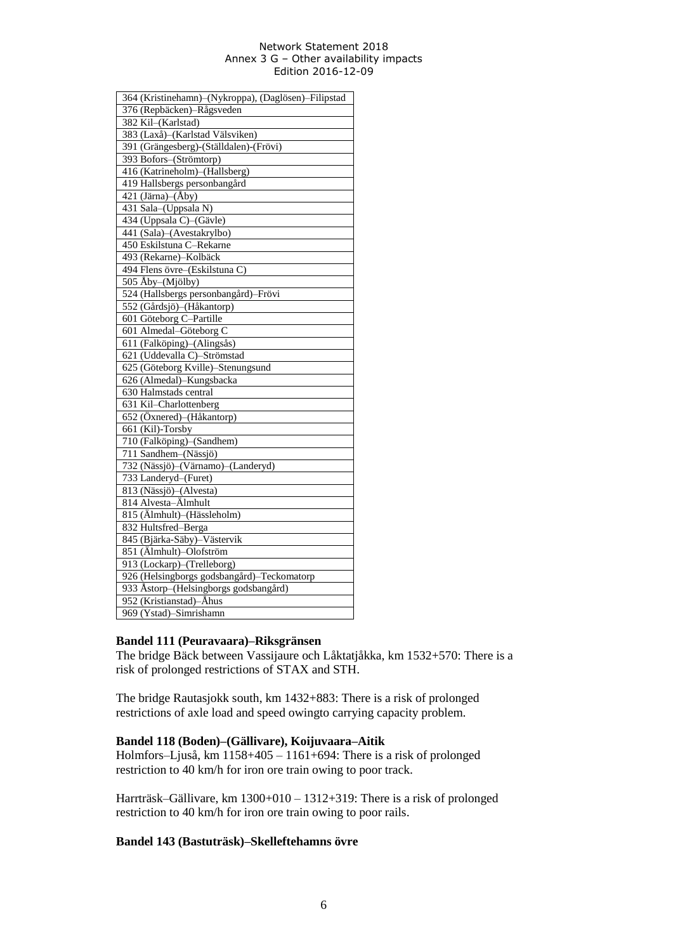| 364 (Kristinehamn)-(Nykroppa), (Daglösen)-Filipstad |  |
|-----------------------------------------------------|--|
| 376 (Repbäcken)-Rågsveden<br>382 Kil-(Karlstad)     |  |
|                                                     |  |
| 383 (Laxå)-(Karlstad Välsviken)                     |  |
| 391 (Grängesberg)-(Ställdalen)-(Frövi)              |  |
| 393 Bofors-(Strömtorp)                              |  |
| 416 (Katrineholm)-(Hallsberg)                       |  |
| 419 Hallsbergs personbangård                        |  |
| 421 (Järna)–(Åby)                                   |  |
| 431 Sala-(Uppsala N)                                |  |
| 434 (Uppsala C)-(Gävle)                             |  |
| 441 (Sala)-(Avestakrylbo)                           |  |
| 450 Eskilstuna C-Rekarne                            |  |
| 493 (Rekarne)-Kolbäck                               |  |
| 494 Flens övre-(Eskilstuna C)                       |  |
| 505 Åby–(Mjölby)                                    |  |
| 524 (Hallsbergs personbangård)-Frövi                |  |
| 552 (Gårdsjö)-(Håkantorp)                           |  |
| 601 Göteborg C-Partille                             |  |
| 601 Almedal-Göteborg C                              |  |
| 611 (Falköping)-(Alingsås)                          |  |
| 621 (Uddevalla C)-Strömstad                         |  |
| 625 (Göteborg Kville)-Stenungsund                   |  |
| 626 (Almedal)-Kungsbacka                            |  |
| 630 Halmstads central                               |  |
| 631 Kil-Charlottenberg                              |  |
| 652 (Öxnered)–(Håkantorp)                           |  |
| 661 (Kil)-Torsby                                    |  |
| 710 (Falköping)-(Sandhem)                           |  |
| 711 Sandhem-(Nässjö)                                |  |
| 732 (Nässjö)-(Värnamo)-(Landeryd)                   |  |
| 733 Landeryd-(Furet)                                |  |
| 813 (Nässjö)–(Alvesta)                              |  |
| 814 Alvesta-Älmhult                                 |  |
| 815 (Älmhult)-(Hässleholm)                          |  |
| 832 Hultsfred-Berga                                 |  |
| 845 (Bjärka-Säby)-Västervik                         |  |
| 851 (Älmhult)-Olofström                             |  |
| 913 (Lockarp)-(Trelleborg)                          |  |
| 926 (Helsingborgs godsbangård)-Teckomatorp          |  |
| 933 Åstorp-(Helsingborgs godsbangård)               |  |
| 952 (Kristianstad)–Åhus                             |  |
| 969 (Ystad)-Simrishamn                              |  |

# **Bandel 111 (Peuravaara)–Riksgränsen**

The bridge Bäck between Vassijaure och Låktatjåkka, km 1532+570: There is a risk of prolonged restrictions of STAX and STH.

The bridge Rautasjokk south, km 1432+883: There is a risk of prolonged restrictions of axle load and speed owingto carrying capacity problem.

### **Bandel 118 (Boden)–(Gällivare), Koijuvaara–Aitik**

Holmfors–Ljuså, km 1158+405 – 1161+694: There is a risk of prolonged restriction to 40 km/h for iron ore train owing to poor track.

Harrträsk–Gällivare, km 1300+010 – 1312+319: There is a risk of prolonged restriction to 40 km/h for iron ore train owing to poor rails.

#### **Bandel 143 (Bastuträsk)–Skelleftehamns övre**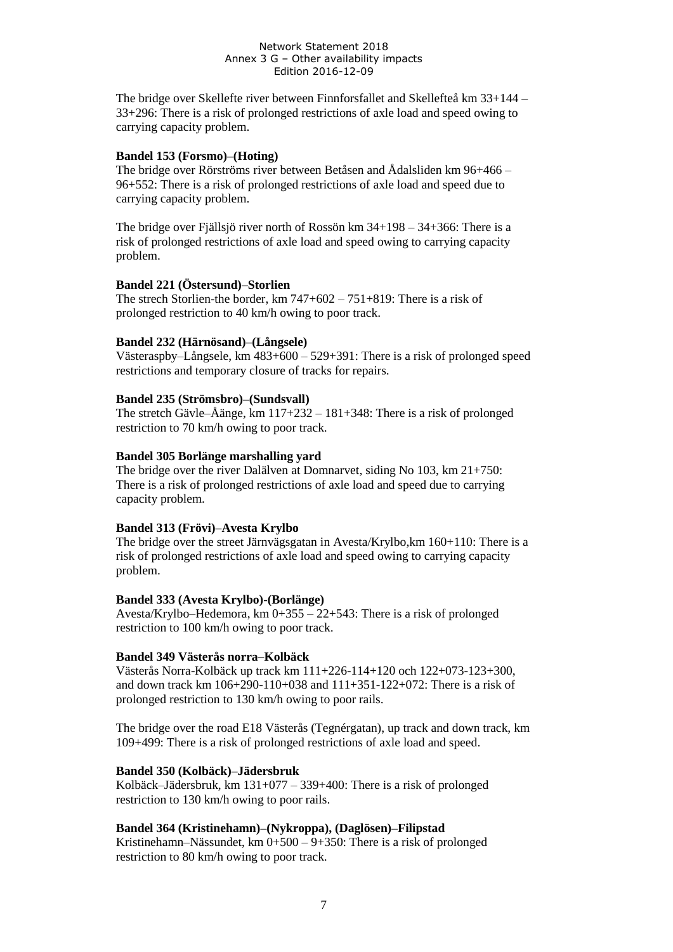The bridge over Skellefte river between Finnforsfallet and Skellefteå km 33+144 – 33+296: There is a risk of prolonged restrictions of axle load and speed owing to carrying capacity problem.

# **Bandel 153 (Forsmo)–(Hoting)**

The bridge over Rörströms river between Betåsen and Ådalsliden km 96+466 – 96+552: There is a risk of prolonged restrictions of axle load and speed due to carrying capacity problem.

The bridge over Fjällsjö river north of Rossön km 34+198 – 34+366: There is a risk of prolonged restrictions of axle load and speed owing to carrying capacity problem.

#### **Bandel 221 (Östersund)–Storlien**

The strech Storlien-the border, km 747+602 – 751+819: There is a risk of prolonged restriction to 40 km/h owing to poor track.

### **Bandel 232 (Härnösand)–(Långsele)**

Västeraspby–Långsele, km 483+600 – 529+391: There is a risk of prolonged speed restrictions and temporary closure of tracks for repairs.

### **Bandel 235 (Strömsbro)–(Sundsvall)**

The stretch Gävle–Åänge, km 117+232 – 181+348: There is a risk of prolonged restriction to 70 km/h owing to poor track.

### **Bandel 305 Borlänge marshalling yard**

The bridge over the river Dalälven at Domnarvet, siding No 103, km 21+750: There is a risk of prolonged restrictions of axle load and speed due to carrying capacity problem.

#### **Bandel 313 (Frövi)–Avesta Krylbo**

The bridge over the street Järnvägsgatan in Avesta/Krylbo,km 160+110: There is a risk of prolonged restrictions of axle load and speed owing to carrying capacity problem.

#### **Bandel 333 (Avesta Krylbo)-(Borlänge)**

Avesta/Krylbo–Hedemora, km 0+355 – 22+543: There is a risk of prolonged restriction to 100 km/h owing to poor track.

# **Bandel 349 Västerås norra–Kolbäck**

Västerås Norra-Kolbäck up track km 111+226-114+120 och 122+073-123+300, and down track km 106+290-110+038 and 111+351-122+072: There is a risk of prolonged restriction to 130 km/h owing to poor rails.

The bridge over the road E18 Västerås (Tegnérgatan), up track and down track, km 109+499: There is a risk of prolonged restrictions of axle load and speed.

# **Bandel 350 (Kolbäck)–Jädersbruk**

Kolbäck–Jädersbruk, km 131+077 – 339+400: There is a risk of prolonged restriction to 130 km/h owing to poor rails.

# **Bandel 364 (Kristinehamn)–(Nykroppa), (Daglösen)–Filipstad**

Kristinehamn–Nässundet, km 0+500 – 9+350: There is a risk of prolonged restriction to 80 km/h owing to poor track.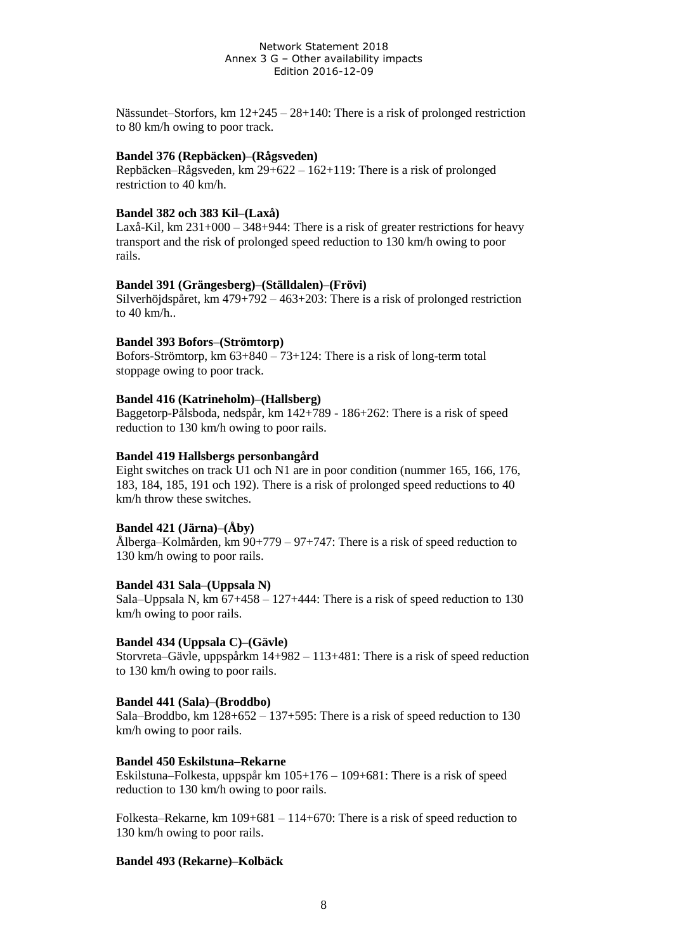Nässundet–Storfors, km 12+245 – 28+140: There is a risk of prolonged restriction to 80 km/h owing to poor track.

### **Bandel 376 (Repbäcken)–(Rågsveden)**

Repbäcken–Rågsveden, km 29+622 – 162+119: There is a risk of prolonged restriction to 40 km/h.

### **Bandel 382 och 383 Kil–(Laxå)**

Laxå-Kil, km 231+000 – 348+944: There is a risk of greater restrictions for heavy transport and the risk of prolonged speed reduction to 130 km/h owing to poor rails.

#### **Bandel 391 (Grängesberg)–(Ställdalen)–(Frövi)**

Silverhöjdspåret, km 479+792 – 463+203: There is a risk of prolonged restriction to 40 km/h..

#### **Bandel 393 Bofors–(Strömtorp)**

Bofors-Strömtorp, km 63+840 – 73+124: There is a risk of long-term total stoppage owing to poor track.

#### **Bandel 416 (Katrineholm)–(Hallsberg)**

Baggetorp-Pålsboda, nedspår, km 142+789 - 186+262: There is a risk of speed reduction to 130 km/h owing to poor rails.

#### **Bandel 419 Hallsbergs personbangård**

Eight switches on track U1 och N1 are in poor condition (nummer 165, 166, 176, 183, 184, 185, 191 och 192). There is a risk of prolonged speed reductions to 40 km/h throw these switches.

#### **Bandel 421 (Järna)–(Åby)**

Ålberga–Kolmården, km  $90+779 - 97+747$ : There is a risk of speed reduction to 130 km/h owing to poor rails.

#### **Bandel 431 Sala–(Uppsala N)**

Sala–Uppsala N, km 67+458 – 127+444: There is a risk of speed reduction to 130 km/h owing to poor rails.

#### **Bandel 434 (Uppsala C)–(Gävle)**

Storvreta–Gävle, uppspårkm 14+982 – 113+481: There is a risk of speed reduction to 130 km/h owing to poor rails.

### **Bandel 441 (Sala)–(Broddbo)**

Sala–Broddbo, km  $128+652-137+595$ : There is a risk of speed reduction to 130 km/h owing to poor rails.

#### **Bandel 450 Eskilstuna–Rekarne**

Eskilstuna–Folkesta, uppspår km 105+176 – 109+681: There is a risk of speed reduction to 130 km/h owing to poor rails.

Folkesta–Rekarne, km 109+681 – 114+670: There is a risk of speed reduction to 130 km/h owing to poor rails.

# **Bandel 493 (Rekarne)–Kolbäck**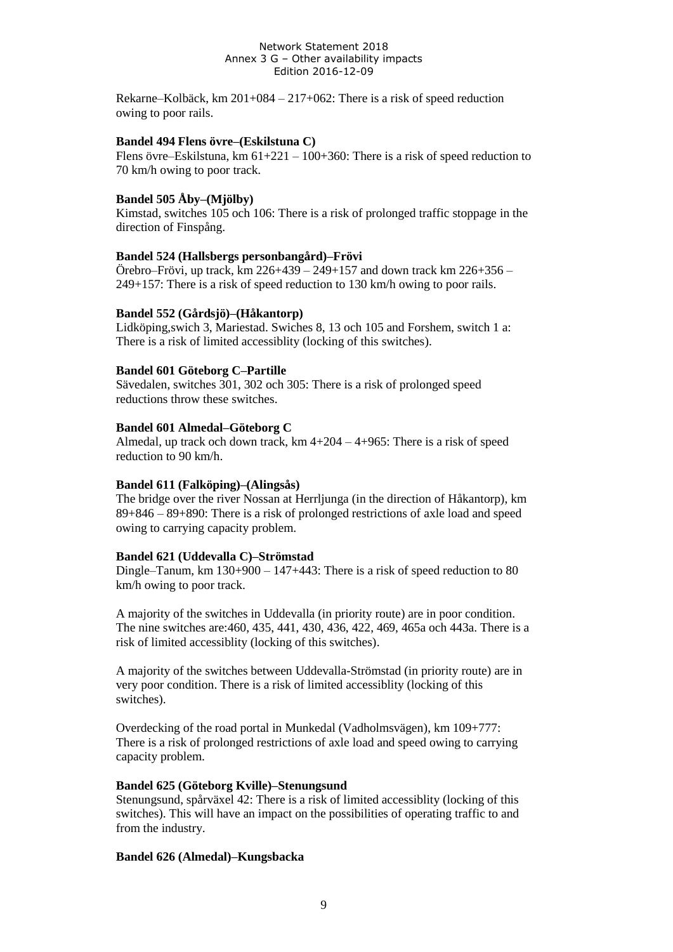Rekarne–Kolbäck, km 201+084 – 217+062: There is a risk of speed reduction owing to poor rails.

### **Bandel 494 Flens övre–(Eskilstuna C)**

Flens övre–Eskilstuna, km 61+221 – 100+360: There is a risk of speed reduction to 70 km/h owing to poor track.

# **Bandel 505 Åby–(Mjölby)**

Kimstad, switches 105 och 106: There is a risk of prolonged traffic stoppage in the direction of Finspång.

### **Bandel 524 (Hallsbergs personbangård)–Frövi**

Örebro–Frövi, up track, km 226+439 – 249+157 and down track km 226+356 – 249+157: There is a risk of speed reduction to 130 km/h owing to poor rails.

#### **Bandel 552 (Gårdsjö)–(Håkantorp)**

Lidköping,swich 3, Mariestad. Swiches 8, 13 och 105 and Forshem, switch 1 a: There is a risk of limited accessiblity (locking of this switches).

### **Bandel 601 Göteborg C–Partille**

Sävedalen, switches 301, 302 och 305: There is a risk of prolonged speed reductions throw these switches.

### **Bandel 601 Almedal–Göteborg C**

Almedal, up track och down track, km 4+204 – 4+965: There is a risk of speed reduction to 90 km/h.

#### **Bandel 611 (Falköping)–(Alingsås)**

The bridge over the river Nossan at Herrljunga (in the direction of Håkantorp), km 89+846 – 89+890: There is a risk of prolonged restrictions of axle load and speed owing to carrying capacity problem.

#### **Bandel 621 (Uddevalla C)–Strömstad**

Dingle–Tanum, km 130+900 – 147+443: There is a risk of speed reduction to 80 km/h owing to poor track.

A majority of the switches in Uddevalla (in priority route) are in poor condition. The nine switches are:460, 435, 441, 430, 436, 422, 469, 465a och 443a. There is a risk of limited accessiblity (locking of this switches).

A majority of the switches between Uddevalla-Strömstad (in priority route) are in very poor condition. There is a risk of limited accessiblity (locking of this switches).

Overdecking of the road portal in Munkedal (Vadholmsvägen), km 109+777: There is a risk of prolonged restrictions of axle load and speed owing to carrying capacity problem.

### **Bandel 625 (Göteborg Kville)–Stenungsund**

Stenungsund, spårväxel 42: There is a risk of limited accessiblity (locking of this switches). This will have an impact on the possibilities of operating traffic to and from the industry.

#### **Bandel 626 (Almedal)–Kungsbacka**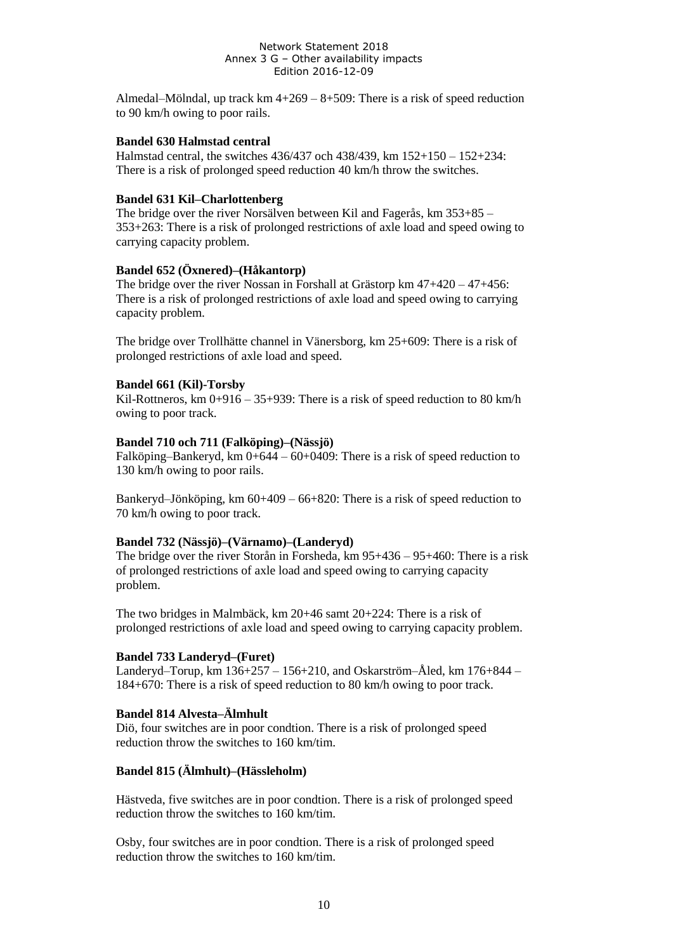Almedal–Mölndal, up track km  $4+269 - 8+509$ : There is a risk of speed reduction to 90 km/h owing to poor rails.

### **Bandel 630 Halmstad central**

Halmstad central, the switches 436/437 och 438/439, km 152+150 – 152+234: There is a risk of prolonged speed reduction 40 km/h throw the switches.

### **Bandel 631 Kil–Charlottenberg**

The bridge over the river Norsälven between Kil and Fagerås, km 353+85 – 353+263: There is a risk of prolonged restrictions of axle load and speed owing to carrying capacity problem.

### **Bandel 652 (Öxnered)–(Håkantorp)**

The bridge over the river Nossan in Forshall at Grästorp km 47+420 – 47+456: There is a risk of prolonged restrictions of axle load and speed owing to carrying capacity problem.

The bridge over Trollhätte channel in Vänersborg, km 25+609: There is a risk of prolonged restrictions of axle load and speed.

### **Bandel 661 (Kil)-Torsby**

Kil-Rottneros, km 0+916 – 35+939: There is a risk of speed reduction to 80 km/h owing to poor track.

#### **Bandel 710 och 711 (Falköping)–(Nässjö)**

Falköping–Bankeryd, km 0+644 – 60+0409: There is a risk of speed reduction to 130 km/h owing to poor rails.

Bankeryd–Jönköping, km 60+409 – 66+820: There is a risk of speed reduction to 70 km/h owing to poor track.

#### **Bandel 732 (Nässjö)–(Värnamo)–(Landeryd)**

The bridge over the river Storån in Forsheda, km 95+436 – 95+460: There is a risk of prolonged restrictions of axle load and speed owing to carrying capacity problem.

The two bridges in Malmbäck, km 20+46 samt 20+224: There is a risk of prolonged restrictions of axle load and speed owing to carrying capacity problem.

# **Bandel 733 Landeryd–(Furet)**

Landeryd–Torup, km 136+257 – 156+210, and Oskarström–Åled, km 176+844 – 184+670: There is a risk of speed reduction to 80 km/h owing to poor track.

# **Bandel 814 Alvesta–Älmhult**

Diö, four switches are in poor condtion. There is a risk of prolonged speed reduction throw the switches to 160 km/tim.

# **Bandel 815 (Älmhult)–(Hässleholm)**

Hästveda, five switches are in poor condtion. There is a risk of prolonged speed reduction throw the switches to 160 km/tim.

Osby, four switches are in poor condtion. There is a risk of prolonged speed reduction throw the switches to 160 km/tim.